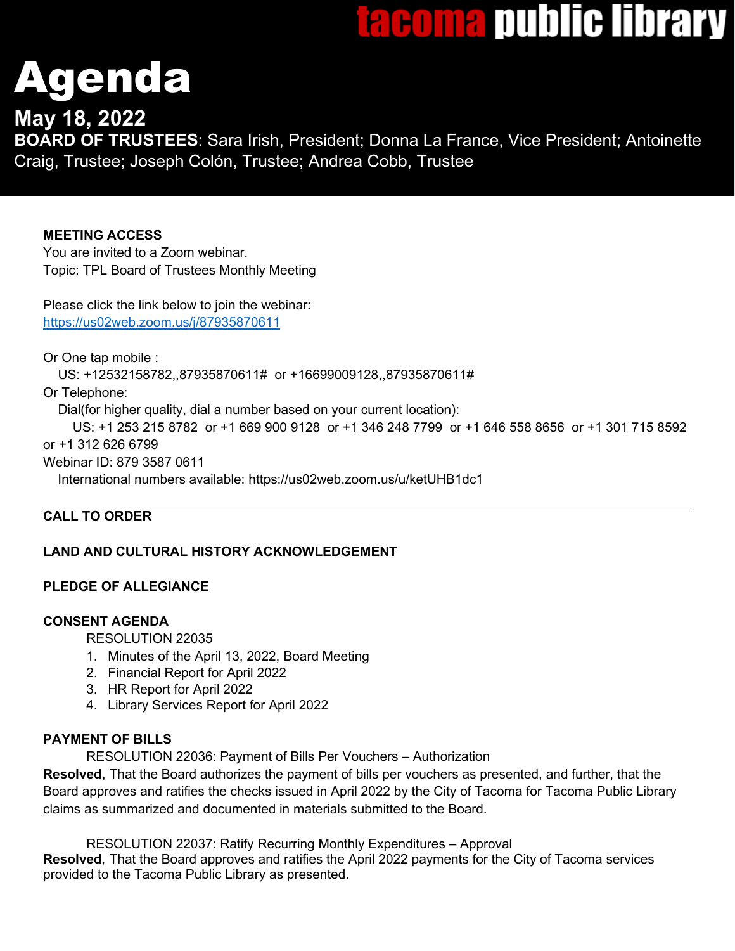# <u>lacoma public library</u>

# Agenda

# **May 18, 2022**

**BOARD OF TRUSTEES**: Sara Irish, President; Donna La France, Vice President; Antoinette Craig, Trustee; Joseph Colón, Trustee; Andrea Cobb, Trustee

# **MEETING ACCESS**

You are invited to a Zoom webinar. Topic: TPL Board of Trustees Monthly Meeting

Please click the link below to join the webinar: <https://us02web.zoom.us/j/87935870611>

Or One tap mobile :

US: +12532158782,,87935870611# or +16699009128,,87935870611#

Or Telephone:

Dial(for higher quality, dial a number based on your current location):

 US: +1 253 215 8782 or +1 669 900 9128 or +1 346 248 7799 or +1 646 558 8656 or +1 301 715 8592 or +1 312 626 6799

Webinar ID: 879 3587 0611

International numbers available: https://us02web.zoom.us/u/ketUHB1dc1

# **CALL TO ORDER**

# **LAND AND CULTURAL HISTORY ACKNOWLEDGEMENT**

# **PLEDGE OF ALLEGIANCE**

## **CONSENT AGENDA**

RESOLUTION 22035

- 1. Minutes of the April 13, 2022, Board Meeting
- 2. Financial Report for April 2022
- 3. HR Report for April 2022
- 4. Library Services Report for April 2022

## **PAYMENT OF BILLS**

RESOLUTION 22036: Payment of Bills Per Vouchers – Authorization

**Resolved**, That the Board authorizes the payment of bills per vouchers as presented, and further, that the Board approves and ratifies the checks issued in April 2022 by the City of Tacoma for Tacoma Public Library claims as summarized and documented in materials submitted to the Board.

RESOLUTION 22037: Ratify Recurring Monthly Expenditures – Approval **Resolved***,* That the Board approves and ratifies the April 2022 payments for the City of Tacoma services provided to the Tacoma Public Library as presented.